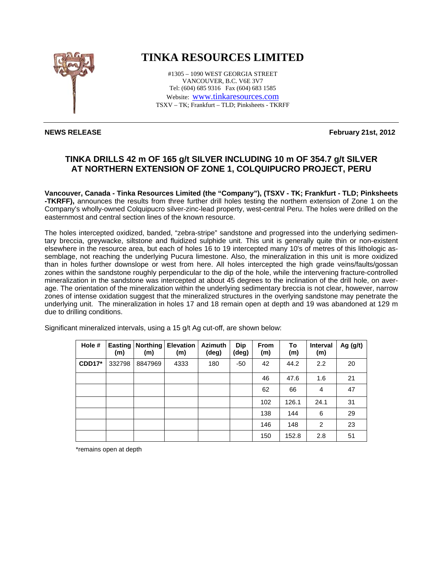

## **TINKA RESOURCES LIMITED**

#1305 – 1090 WEST GEORGIA STREET VANCOUVER, B.C. V6E 3V7 Tel: (604) 685 9316 Fax (604) 683 1585 Website: www.tinkaresources.com TSXV – TK; Frankfurt – TLD; Pinksheets - TKRFF

**NEWS RELEASE** February 21st, 2012

## **TINKA DRILLS 42 m OF 165 g/t SILVER INCLUDING 10 m OF 354.7 g/t SILVER AT NORTHERN EXTENSION OF ZONE 1, COLQUIPUCRO PROJECT, PERU**

**Vancouver, Canada - Tinka Resources Limited (the "Company"), (TSXV - TK; Frankfurt - TLD; Pinksheets -TKRFF),** announces the results from three further drill holes testing the northern extension of Zone 1 on the Company's wholly-owned Colquipucro silver-zinc-lead property, west-central Peru. The holes were drilled on the easternmost and central section lines of the known resource.

The holes intercepted oxidized, banded, "zebra-stripe" sandstone and progressed into the underlying sedimentary breccia, greywacke, siltstone and fluidized sulphide unit. This unit is generally quite thin or non-existent elsewhere in the resource area, but each of holes 16 to 19 intercepted many 10's of metres of this lithologic assemblage, not reaching the underlying Pucura limestone. Also, the mineralization in this unit is more oxidized than in holes further downslope or west from here. All holes intercepted the high grade veins/faults/gossan zones within the sandstone roughly perpendicular to the dip of the hole, while the intervening fracture-controlled mineralization in the sandstone was intercepted at about 45 degrees to the inclination of the drill hole, on average. The orientation of the mineralization within the underlying sedimentary breccia is not clear, however, narrow zones of intense oxidation suggest that the mineralized structures in the overlying sandstone may penetrate the underlying unit. The mineralization in holes 17 and 18 remain open at depth and 19 was abandoned at 129 m due to drilling conditions.

| Hole #        | <b>Easting</b><br>(m) | Northing<br>(m) | <b>Elevation</b><br>(m) | <b>Azimuth</b><br>(deg) | <b>Dip</b><br>(deg) | <b>From</b><br>(m) | To<br>(m) | <b>Interval</b><br>(m) | Ag $(g/t)$ |
|---------------|-----------------------|-----------------|-------------------------|-------------------------|---------------------|--------------------|-----------|------------------------|------------|
| <b>CDD17*</b> | 332798                | 8847969         | 4333                    | 180                     | $-50$               | 42                 | 44.2      | 2.2                    | 20         |
|               |                       |                 |                         |                         |                     | 46                 | 47.6      | 1.6                    | 21         |
|               |                       |                 |                         |                         |                     | 62                 | 66        | 4                      | 47         |
|               |                       |                 |                         |                         |                     | 102                | 126.1     | 24.1                   | 31         |
|               |                       |                 |                         |                         |                     | 138                | 144       | 6                      | 29         |
|               |                       |                 |                         |                         |                     | 146                | 148       | 2                      | 23         |
|               |                       |                 |                         |                         |                     | 150                | 152.8     | 2.8                    | 51         |

Significant mineralized intervals, using a 15 g/t Ag cut-off, are shown below:

\*remains open at depth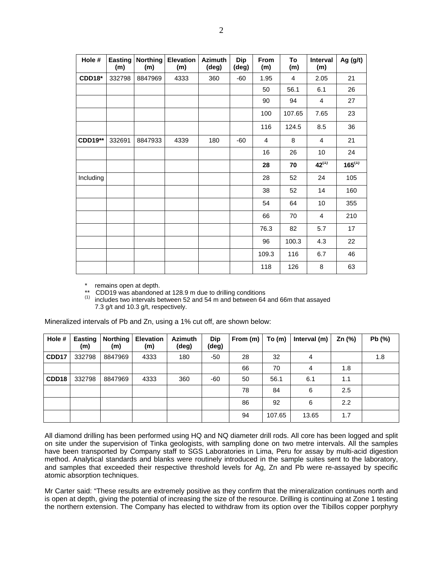| Hole #         | <b>Easting</b><br>(m) | <b>Northing</b><br>(m) | <b>Elevation</b><br>(m) | <b>Azimuth</b><br>(deg) | <b>Dip</b><br>(deg) | From<br>(m)    | To<br>(m) | Interval<br>(m) | Ag (g/t)    |
|----------------|-----------------------|------------------------|-------------------------|-------------------------|---------------------|----------------|-----------|-----------------|-------------|
| <b>CDD18*</b>  | 332798                | 8847969                | 4333                    | 360                     | $-60$               | 1.95           | 4         | 2.05            | 21          |
|                |                       |                        |                         |                         |                     | 50             | 56.1      | 6.1             | 26          |
|                |                       |                        |                         |                         |                     | 90             | 94        | 4               | 27          |
|                |                       |                        |                         |                         |                     | 100            | 107.65    | 7.65            | 23          |
|                |                       |                        |                         |                         |                     | 116            | 124.5     | 8.5             | 36          |
| <b>CDD19**</b> | 332691                | 8847933                | 4339                    | 180                     | $-60$               | $\overline{4}$ | 8         | 4               | 21          |
|                |                       |                        |                         |                         |                     | 16             | 26        | 10              | 24          |
|                |                       |                        |                         |                         |                     | 28             | 70        | $42^{(1)}$      | $165^{(1)}$ |
| Including      |                       |                        |                         |                         |                     | 28             | 52        | 24              | 105         |
|                |                       |                        |                         |                         |                     | 38             | 52        | 14              | 160         |
|                |                       |                        |                         |                         |                     | 54             | 64        | 10              | 355         |
|                |                       |                        |                         |                         |                     | 66             | 70        | 4               | 210         |
|                |                       |                        |                         |                         |                     | 76.3           | 82        | 5.7             | 17          |
|                |                       |                        |                         |                         |                     | 96             | 100.3     | 4.3             | 22          |
|                |                       |                        |                         |                         |                     | 109.3          | 116       | 6.7             | 46          |
|                |                       |                        |                         |                         |                     | 118            | 126       | 8               | 63          |

\* remains open at depth.

CDD19 was abandoned at 128.9 m due to drilling conditions

(1) includes two intervals between 52 and 54 m and between 64 and 66m that assayed 7.3 g/t and 10.3 g/t, respectively.

Mineralized intervals of Pb and Zn, using a 1% cut off, are shown below:

| Hole #            | <b>Easting</b><br>(m) | <b>Northing</b><br>(m) | <b>Elevation</b><br>(m) | <b>Azimuth</b><br>(deg) | Dip<br>(deg) | From (m) | To (m) | Interval (m) | Zn $(%)$         | Pb (%) |
|-------------------|-----------------------|------------------------|-------------------------|-------------------------|--------------|----------|--------|--------------|------------------|--------|
| CDD17             | 332798                | 8847969                | 4333                    | 180                     | -50          | 28       | 32     | 4            |                  | 1.8    |
|                   |                       |                        |                         |                         |              | 66       | 70     | 4            | 1.8              |        |
| CDD <sub>18</sub> | 332798                | 8847969                | 4333                    | 360                     | -60          | 50       | 56.1   | 6.1          | 1.1              |        |
|                   |                       |                        |                         |                         |              | 78       | 84     | 6            | 2.5              |        |
|                   |                       |                        |                         |                         |              | 86       | 92     | 6            | $2.2\phantom{0}$ |        |
|                   |                       |                        |                         |                         |              | 94       | 107.65 | 13.65        | 1.7              |        |

All diamond drilling has been performed using HQ and NQ diameter drill rods. All core has been logged and split on site under the supervision of Tinka geologists, with sampling done on two metre intervals. All the samples have been transported by Company staff to SGS Laboratories in Lima, Peru for assay by multi-acid digestion method. Analytical standards and blanks were routinely introduced in the sample suites sent to the laboratory, and samples that exceeded their respective threshold levels for Ag, Zn and Pb were re-assayed by specific atomic absorption techniques.

Mr Carter said: "These results are extremely positive as they confirm that the mineralization continues north and is open at depth, giving the potential of increasing the size of the resource. Drilling is continuing at Zone 1 testing the northern extension. The Company has elected to withdraw from its option over the Tibillos copper porphyry